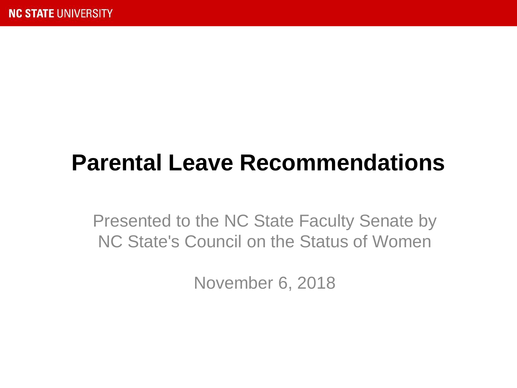## **Parental Leave Recommendations**

Presented to the NC State Faculty Senate by NC State's Council on the Status of Women

November 6, 2018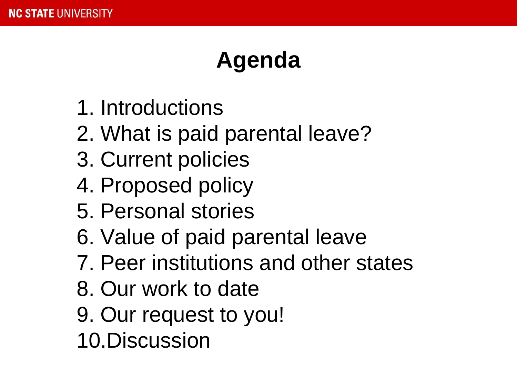## **Agenda**

- 1. Introductions
- 2. What is paid parental leave?
- 3. Current policies
- 4. Proposed policy
- 5. Personal stories
- 6. Value of paid parental leave
- 7. Peer institutions and other states
- 8. Our work to date
- 9. Our request to you!
- 10.Discussion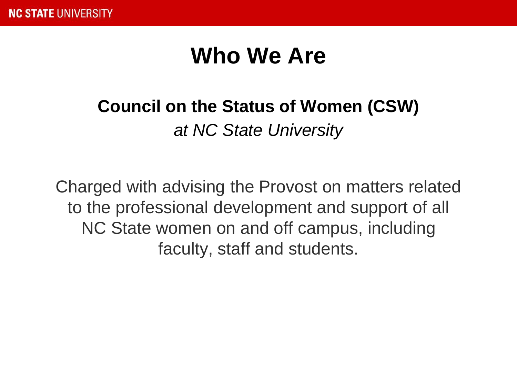### **Who We Are**

### **Council on the Status of Women (CSW)**

*at NC State University*

Charged with advising the Provost on matters related to the professional development and support of all NC State women on and off campus, including faculty, staff and students.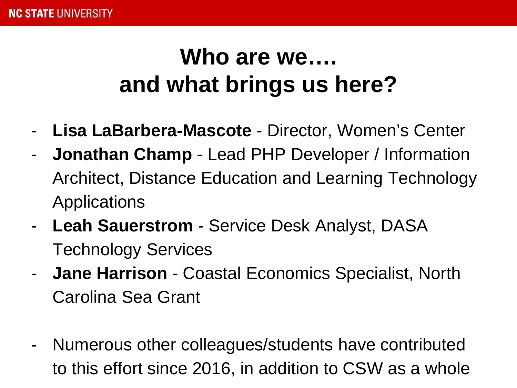## **Who are we…. and what brings us here?**

- **Lisa LaBarbera-Mascote** Director, Women's Center
- **Jonathan Champ** Lead PHP Developer / Information Architect, Distance Education and Learning Technology Applications
- **Leah Sauerstrom** Service Desk Analyst, DASA Technology Services
- **Jane Harrison** Coastal Economics Specialist, North Carolina Sea Grant
- Numerous other colleagues/students have contributed to this effort since 2016, in addition to CSW as a whole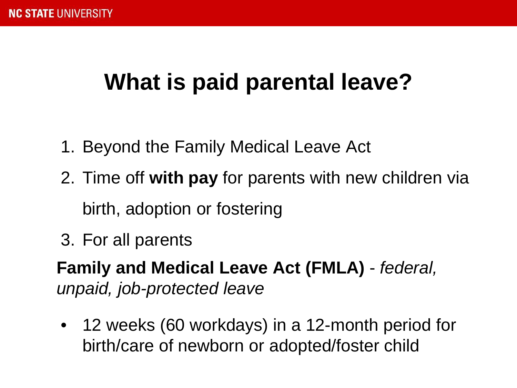## **What is paid parental leave?**

- 1. Beyond the Family Medical Leave Act
- 2. Time off **with pay** for parents with new children via birth, adoption or fostering
- 3. For all parents

**Family and Medical Leave Act (FMLA)** - *federal, unpaid, job-protected leave*

• 12 weeks (60 workdays) in a 12-month period for birth/care of newborn or adopted/foster child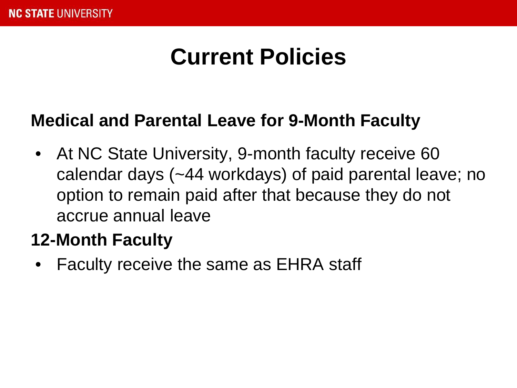### **Medical and Parental Leave for 9-Month Faculty**

• At NC State University, 9-month faculty receive 60 calendar days (~44 workdays) of paid parental leave; no option to remain paid after that because they do not accrue annual leave

### **12-Month Faculty**

• Faculty receive the same as EHRA staff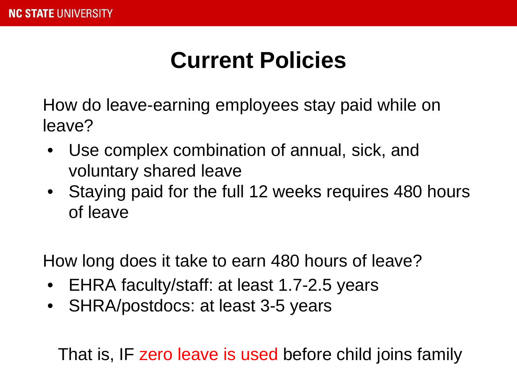How do leave-earning employees stay paid while on leave?

- Use complex combination of annual, sick, and voluntary shared leave
- Staying paid for the full 12 weeks requires 480 hours of leave

How long does it take to earn 480 hours of leave?

- EHRA faculty/staff: at least 1.7-2.5 years
- SHRA/postdocs: at least 3-5 years

That is, IF zero leave is used before child joins family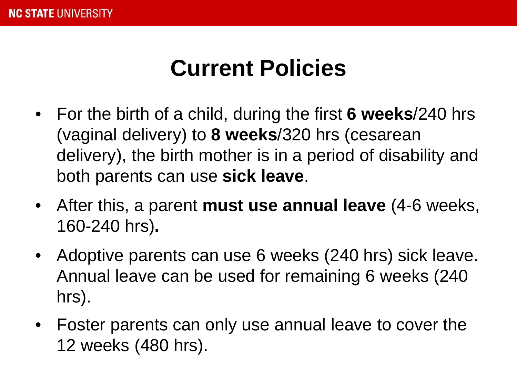- For the birth of a child, during the first **6 weeks**/240 hrs (vaginal delivery) to **8 weeks**/320 hrs (cesarean delivery), the birth mother is in a period of disability and both parents can use **sick leave**.
- After this, a parent **must use annual leave** (4-6 weeks, 160-240 hrs)**.**
- Adoptive parents can use 6 weeks (240 hrs) sick leave. Annual leave can be used for remaining 6 weeks (240 hrs).
- Foster parents can only use annual leave to cover the 12 weeks (480 hrs).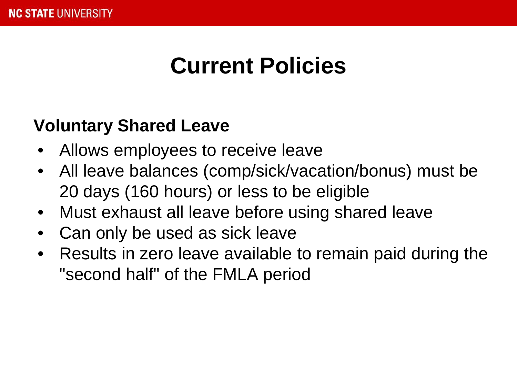### **Voluntary Shared Leave**

- Allows employees to receive leave
- All leave balances (comp/sick/vacation/bonus) must be 20 days (160 hours) or less to be eligible
- Must exhaust all leave before using shared leave
- Can only be used as sick leave
- Results in zero leave available to remain paid during the "second half" of the FMLA period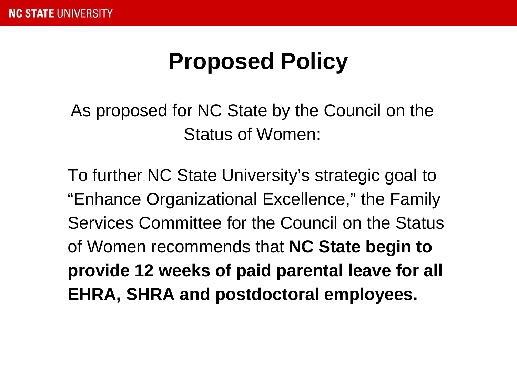### **Proposed Policy**

As proposed for NC State by the Council on the Status of Women:

To further NC State University's strategic goal to "Enhance Organizational Excellence," the Family Services Committee for the Council on the Status of Women recommends that **NC State begin to provide 12 weeks of paid parental leave for all EHRA, SHRA and postdoctoral employees.**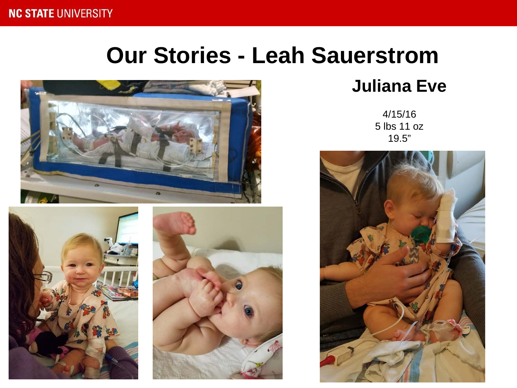### **Our Stories - Leah Sauerstrom**





### **Juliana Eve**

4/15/16 5 lbs 11 oz 19.5"

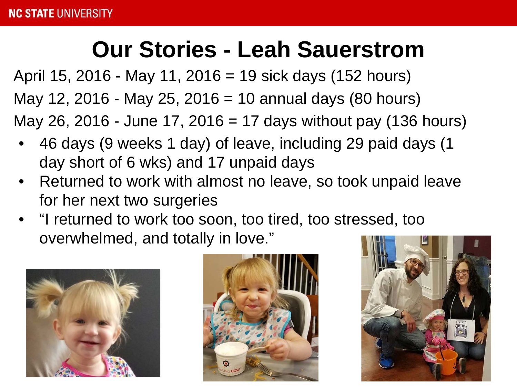### **Our Stories - Leah Sauerstrom**

April 15, 2016 - May 11, 2016 = 19 sick days (152 hours) May 12, 2016 - May 25, 2016 = 10 annual days (80 hours) May 26, 2016 - June 17, 2016 = 17 days without pay (136 hours)

- 46 days (9 weeks 1 day) of leave, including 29 paid days (1 day short of 6 wks) and 17 unpaid days
- Returned to work with almost no leave, so took unpaid leave for her next two surgeries
- "I returned to work too soon, too tired, too stressed, too overwhelmed, and totally in love."





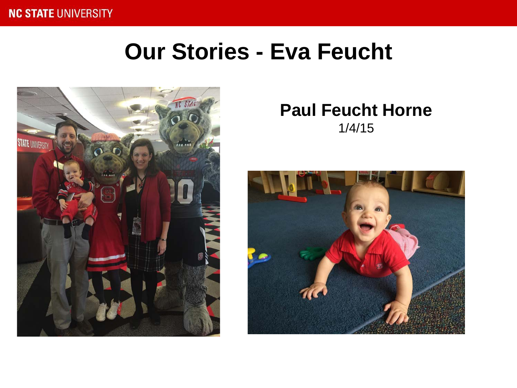#### **NC STATE UNIVERSITY**

### **Our Stories - Eva Feucht**



#### **Paul Feucht Horne** 1/4/15

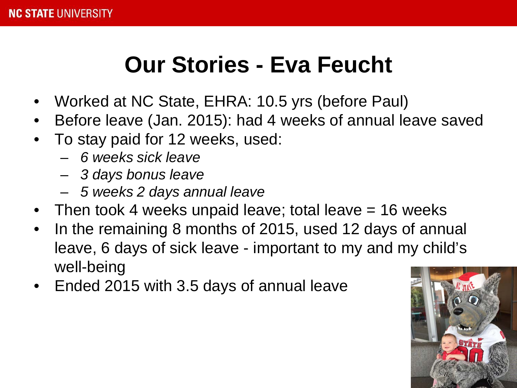### **Our Stories - Eva Feucht**

- Worked at NC State, EHRA: 10.5 yrs (before Paul)
- Before leave (Jan. 2015): had 4 weeks of annual leave saved
- To stay paid for 12 weeks, used:
	- *6 weeks sick leave*
	- *3 days bonus leave*
	- *5 weeks 2 days annual leave*
- Then took 4 weeks unpaid leave; total leave  $= 16$  weeks
- In the remaining 8 months of 2015, used 12 days of annual leave, 6 days of sick leave - important to my and my child's well-being
- Ended 2015 with 3.5 days of annual leave

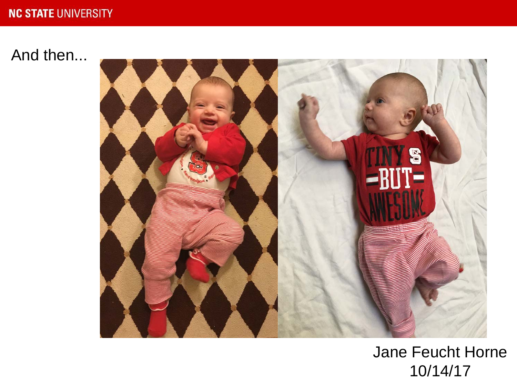#### **NC STATE UNIVERSITY**

### And then...



### Jane Feucht Horne 10/14/17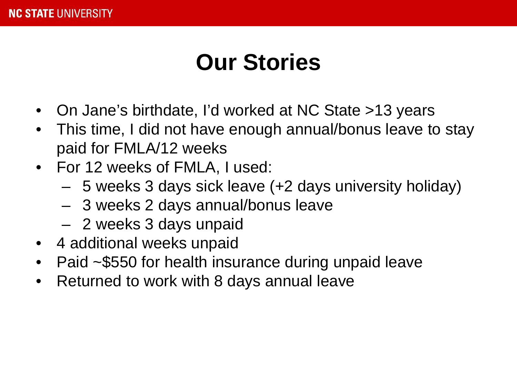## **Our Stories**

- On Jane's birthdate, I'd worked at NC State >13 years
- This time, I did not have enough annual/bonus leave to stay paid for FMLA/12 weeks
- For 12 weeks of FMLA, I used:
	- 5 weeks 3 days sick leave (+2 days university holiday)
	- 3 weeks 2 days annual/bonus leave
	- 2 weeks 3 days unpaid
- 4 additional weeks unpaid
- Paid ~\$550 for health insurance during unpaid leave
- Returned to work with 8 days annual leave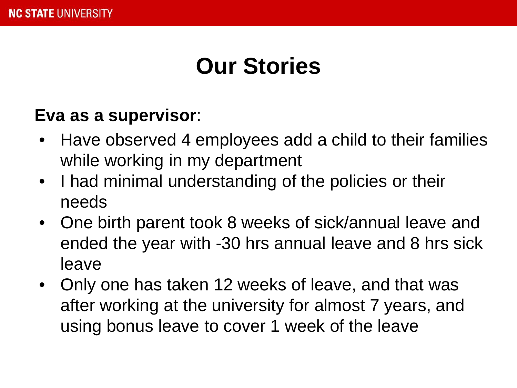### **Our Stories**

### **Eva as a supervisor**:

- Have observed 4 employees add a child to their families while working in my department
- I had minimal understanding of the policies or their needs
- One birth parent took 8 weeks of sick/annual leave and ended the year with -30 hrs annual leave and 8 hrs sick leave
- Only one has taken 12 weeks of leave, and that was after working at the university for almost 7 years, and using bonus leave to cover 1 week of the leave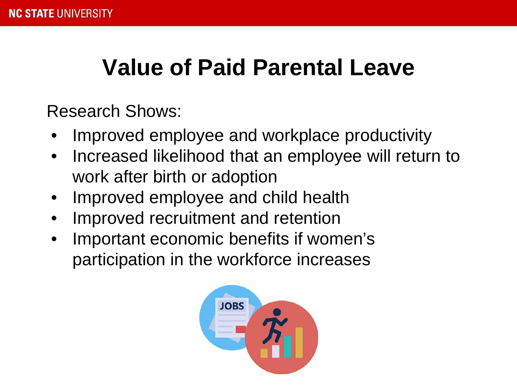### **Value of Paid Parental Leave**

Research Shows:

- Improved employee and workplace productivity
- Increased likelihood that an employee will return to work after birth or adoption
- Improved employee and child health
- Improved recruitment and retention
- Important economic benefits if women's participation in the workforce increases

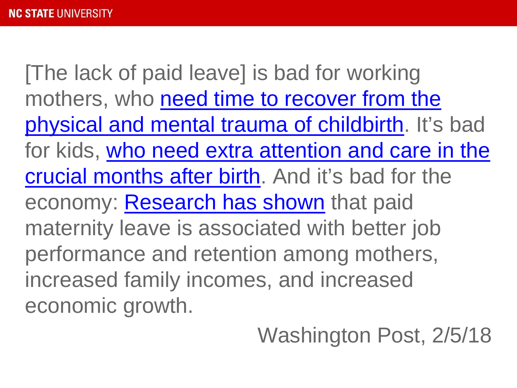[The lack of paid leave] is bad for working mothers, who need time to recover from the [physical and mental trauma of childbirth. It's](https://www.ncbi.nlm.nih.gov/pubmed/24305845) bad [for kids, who need extra attention and care in the](https://www.cnn.com/2015/10/29/health/paid-leave-benefits-to-children-research/index.html)  crucial months after birth. And it's bad for the economy: [Research has shown](https://www.dol.gov/wb/resources/paid_parental_leave_in_the_united_states.pdf) that paid maternity leave is associated with better job performance and retention among mothers, increased family incomes, and increased economic growth.

Washington Post, 2/5/18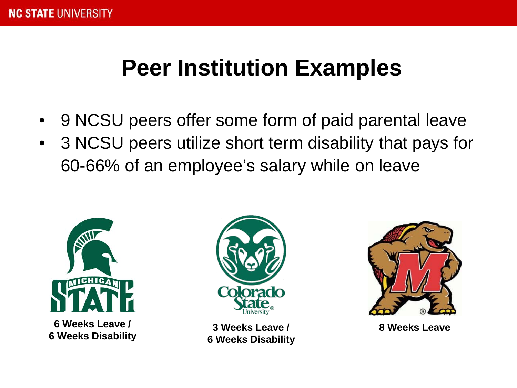### **Peer Institution Examples**

- 9 NCSU peers offer some form of paid parental leave
- 3 NCSU peers utilize short term disability that pays for 60-66% of an employee's salary while on leave



**6 Weeks Leave / 6 Weeks Disability**



**3 Weeks Leave / 6 Weeks Disability**



**8 Weeks Leave**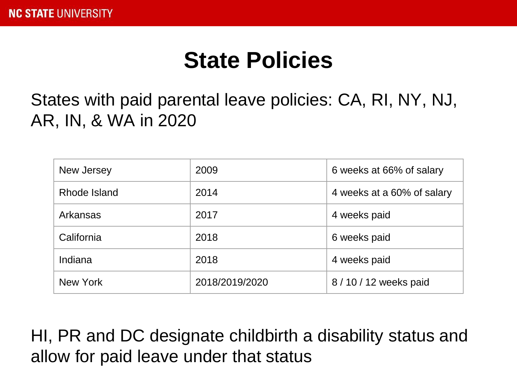### **State Policies**

States with paid parental leave policies: CA, RI, NY, NJ, AR, IN, & WA in 2020

| New Jersey   | 2009           | 6 weeks at 66% of salary   |
|--------------|----------------|----------------------------|
| Rhode Island | 2014           | 4 weeks at a 60% of salary |
| Arkansas     | 2017           | 4 weeks paid               |
| California   | 2018           | 6 weeks paid               |
| Indiana      | 2018           | 4 weeks paid               |
| New York     | 2018/2019/2020 | 8/10/12 weeks paid         |

HI, PR and DC designate childbirth a disability status and allow for paid leave under that status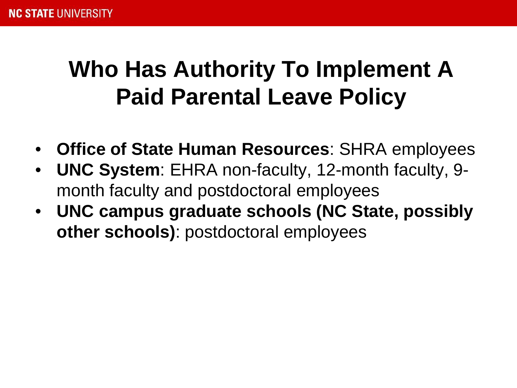## **Who Has Authority To Implement A Paid Parental Leave Policy**

- **Office of State Human Resources**: SHRA employees
- **UNC System**: EHRA non-faculty, 12-month faculty, 9 month faculty and postdoctoral employees
- **UNC campus graduate schools (NC State, possibly other schools)**: postdoctoral employees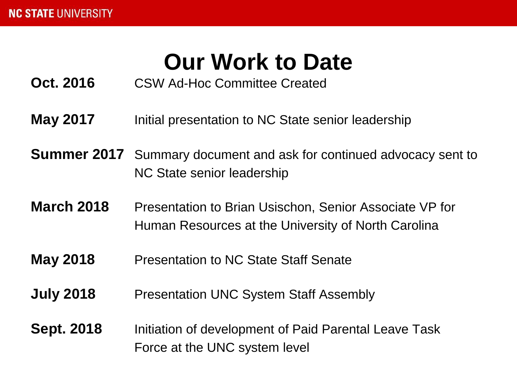## **Our Work to Date**

**Oct. 2016** CSW Ad-Hoc Committee Created

- **May 2017** Initial presentation to NC State senior leadership
- **Summer 2017** Summary document and ask for continued advocacy sent to NC State senior leadership
- **March 2018** Presentation to Brian Usischon, Senior Associate VP for Human Resources at the University of North Carolina
- **May 2018** Presentation to NC State Staff Senate
- **July 2018** Presentation UNC System Staff Assembly
- **Sept. 2018** Initiation of development of Paid Parental Leave Task Force at the UNC system level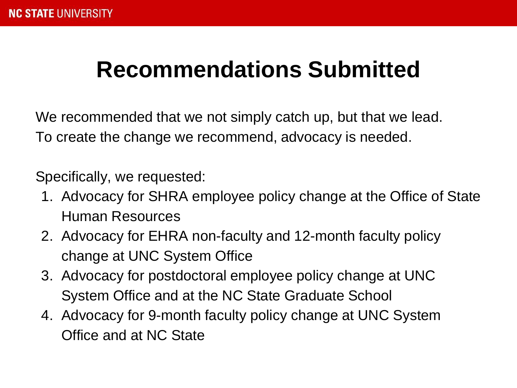### **Recommendations Submitted**

We recommended that we not simply catch up, but that we lead. To create the change we recommend, advocacy is needed.

Specifically, we requested:

- 1. Advocacy for SHRA employee policy change at the Office of State Human Resources
- 2. Advocacy for EHRA non-faculty and 12-month faculty policy change at UNC System Office
- 3. Advocacy for postdoctoral employee policy change at UNC System Office and at the NC State Graduate School
- 4. Advocacy for 9-month faculty policy change at UNC System Office and at NC State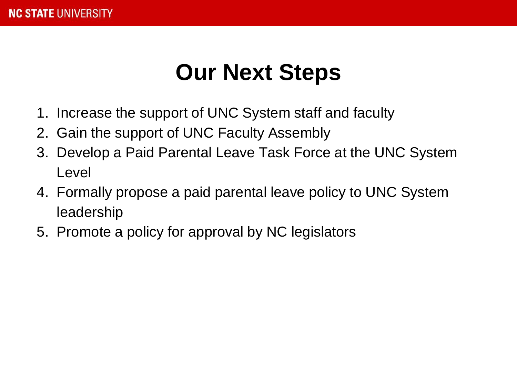### **Our Next Steps**

- 1. Increase the support of UNC System staff and faculty
- 2. Gain the support of UNC Faculty Assembly
- 3. Develop a Paid Parental Leave Task Force at the UNC System Level
- 4. Formally propose a paid parental leave policy to UNC System leadership
- 5. Promote a policy for approval by NC legislators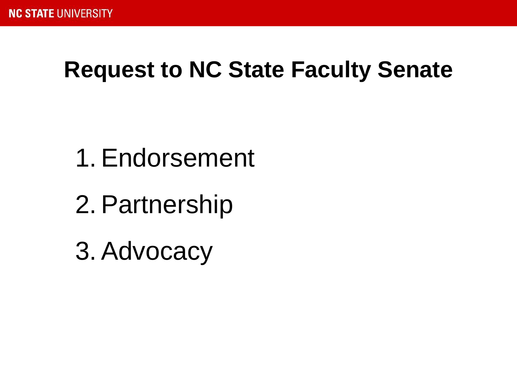### **Request to NC State Faculty Senate**

- 1.Endorsement
- 2.Partnership
- 3.Advocacy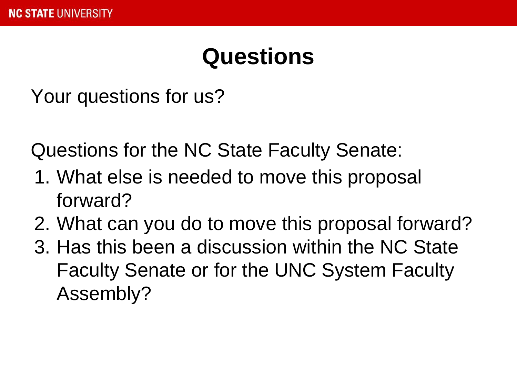### **Questions**

Your questions for us?

Questions for the NC State Faculty Senate:

- 1. What else is needed to move this proposal forward?
- 2. What can you do to move this proposal forward?
- 3. Has this been a discussion within the NC State Faculty Senate or for the UNC System Faculty Assembly?